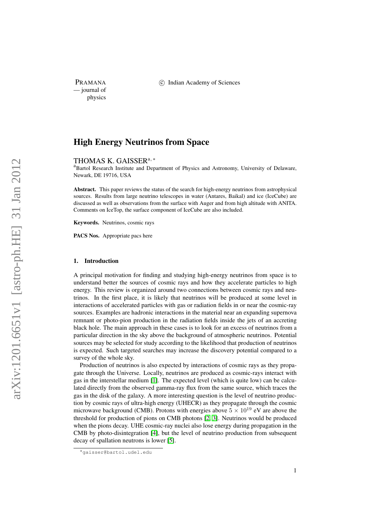— journal of physics

PRAMANA 
(C) Indian Academy of Sciences

# High Energy Neutrinos from Space

THOMAS K. GAISSER<sup>a,\*</sup>

<sup>a</sup>Bartol Research Institute and Department of Physics and Astronomy, University of Delaware, Newark, DE 19716, USA

Abstract. This paper reviews the status of the search for high-energy neutrinos from astrophysical sources. Results from large neutrino telescopes in water (Antares, Baikal) and ice (IceCube) are discussed as well as observations from the surface with Auger and from high altitude with ANITA. Comments on IceTop, the surface component of IceCube are also included.

Keywords. Neutrinos, cosmic rays

PACS Nos. Appropriate pacs here

#### 1. Introduction

A principal motivation for finding and studying high-energy neutrinos from space is to understand better the sources of cosmic rays and how they accelerate particles to high energy. This review is organized around two connections between cosmic rays and neutrinos. In the first place, it is likely that neutrinos will be produced at some level in interactions of accelerated particles with gas or radiation fields in or near the cosmic-ray sources. Examples are hadronic interactions in the material near an expanding supernova remnant or photo-pion production in the radiation fields inside the jets of an accreting black hole. The main approach in these cases is to look for an excess of neutrinos from a particular direction in the sky above the background of atmospheric neutrinos. Potential sources may be selected for study according to the likelihood that production of neutrinos is expected. Such targeted searches may increase the discovery potential compared to a survey of the whole sky.

Production of neutrinos is also expected by interactions of cosmic rays as they propagate through the Universe. Locally, neutrinos are produced as cosmic-rays interact with gas in the interstellar medium [\[1\]](#page-13-0). The expected level (which is quite low) can be calculated directly from the observed gamma-ray flux from the same source, which traces the gas in the disk of the galaxy. A more interesting question is the level of neutrino production by cosmic rays of ultra-high energy (UHECR) as they propagate through the cosmic microwave background (CMB). Protons with energies above  $5 \times 10^{19}$  eV are above the threshold for production of pions on CMB photons [\[2,](#page-13-1) [3\]](#page-13-2). Neutrinos would be produced when the pions decay. UHE cosmic-ray nuclei also lose energy during propagation in the CMB by photo-disintegration [\[4\]](#page-13-3), but the level of neutrino production from subsequent decay of spallation neutrons is lower [\[5\]](#page-13-4).

<sup>∗</sup>gaisser@bartol.udel.edu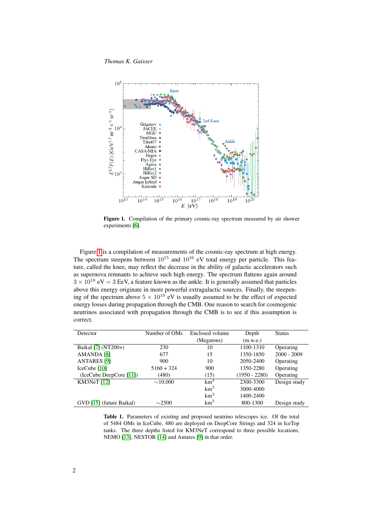*Thomas K. Gaisser*



<span id="page-1-0"></span>Figure 1. Compilation of the primary cosmic-ray spectrum measured by air shower experiments [\[6\]](#page-13-5).

Figure [1](#page-1-0) is a compilation of measurements of the cosmic-ray spectrum at high energy. The spectrum steepens between  $10^{15}$  and  $10^{16}$  eV total energy per particle. This feature, called the knee, may reflect the decrease in the ability of galactic accelerators such as supernova remnants to achieve such high energy. The spectrum flattens again around  $3 \times 10^{18}$  eV = 3 EeV, a feature known as the ankle. It is generally assumed that particles above this energy originate in more powerful extragalactic sources. Finally, the steepening of the spectrum above  $5 \times 10^{19}$  eV is usually assumed to be the effect of expected energy losses during propagation through the CMB. One reason to search for cosmogenic neutrinos associated with propagation through the CMB is to see if this assumption is correct.

| Detector                 | Number of OMs | Enclosed volume | Depth           | <b>Status</b> |
|--------------------------|---------------|-----------------|-----------------|---------------|
|                          |               | (Megatons)      | (m.w.e.)        |               |
| Baikal [7] (NT200+)      | 230           | 10              | 1100-1310       | Operating     |
| AMANDA <sup>[8]</sup>    | 677           | 15              | 1350-1850       | $2000 - 2009$ |
| <b>ANTARES</b> [9]       | 900           | 10              | 2050-2400       | Operating     |
| IceCube [10]             | $5160 + 324$  | 900             | 1350-2280       | Operating     |
| (IceCube DeepCore [11])  | (480)         | (15)            | $(1950 - 2280)$ | Operating     |
| KM3NeT [12]              | $\sim$ 10.000 | km <sup>3</sup> | 2300-3300       | Design study  |
|                          |               | km <sup>3</sup> | 3000-4000       |               |
|                          |               | km <sup>3</sup> | 1400-2400       |               |
| GVD [15] (future Baikal) | $\sim$ 2500   | km <sup>3</sup> | 800-1300        | Design study  |

<span id="page-1-1"></span>Table 1. Parameters of existing and proposed neutrino telescopes ice. Of the total of 5484 OMs in IceCube, 480 are deployed on DeepCore Strings and 324 in IceTop tanks. The three depths listed for KM3NeT correspond to three possible locations, NEMO [\[13\]](#page-14-5), NESTOR [\[14\]](#page-14-6) and Antares [\[9\]](#page-14-0) in that order.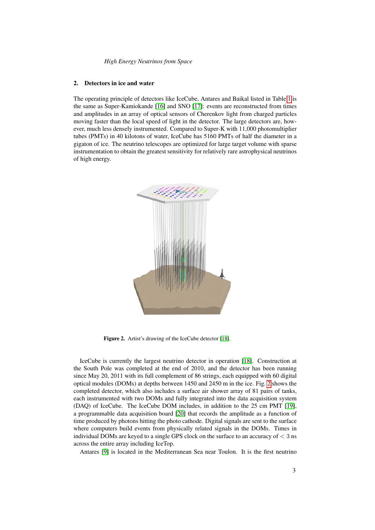# 2. Detectors in ice and water

The operating principle of detectors like IceCube, Antares and Baikal listed in Table [1](#page-1-1) is the same as Super-Kamiokande [\[16\]](#page-14-7) and SNO [\[17\]](#page-14-8): events are reconstructed from times and amplitudes in an array of optical sensors of Cherenkov light from charged particles moving faster than the local speed of light in the detector. The large detectors are, however, much less densely instrumented. Compared to Super-K with 11,000 photomultiplier tubes (PMTs) in 40 kilotons of water, IceCube has 5160 PMTs of half the diameter in a gigaton of ice. The neutrino telescopes are optimized for large target volume with sparse instrumentation to obtain the greatest sensitivity for relatively rare astrophysical neutrinos of high energy.



<span id="page-2-0"></span>Figure 2. Artist's drawing of the IceCube detector [\[18\]](#page-14-9).

IceCube is currently the largest neutrino detector in operation [\[18\]](#page-14-9). Construction at the South Pole was completed at the end of 2010, and the detector has been running since May 20, 2011 with its full complement of 86 strings, each equipped with 60 digital optical modules (DOMs) at depths between 1450 and 2450 m in the ice. Fig. [2](#page-2-0) shows the completed detector, which also includes a surface air shower array of 81 pairs of tanks, each instrumented with two DOMs and fully integrated into the data acquisition system (DAQ) of IceCube. The IceCube DOM includes, in addition to the 25 cm PMT [\[19\]](#page-14-10), a programmable data acquisition board [\[20\]](#page-14-11) that records the amplitude as a function of time produced by photons hitting the photo cathode. Digital signals are sent to the surface where computers build events from physically related signals in the DOMs. Times in individual DOMs are keyed to a single GPS clock on the surface to an accuracy of  $\leq 3$  ns across the entire array including IceTop.

Antares [\[9\]](#page-14-0) is located in the Mediterranean Sea near Toulon. It is the first neutrino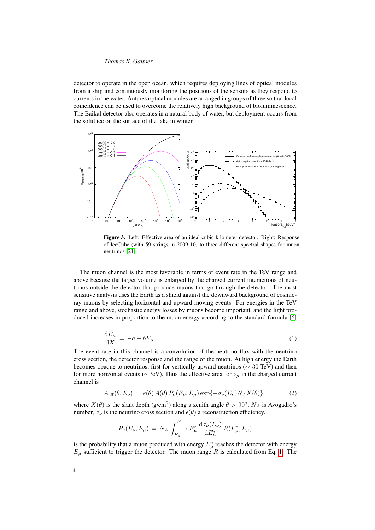detector to operate in the open ocean, which requires deploying lines of optical modules from a ship and continuously monitoring the positions of the sensors as they respond to currents in the water. Antares optical modules are arranged in groups of three so that local coincidence can be used to overcome the relatively high background of bioluminescence. The Baikal detector also operates in a natural body of water, but deployment occurs from the solid ice on the surface of the lake in winter.



<span id="page-3-1"></span>Figure 3. Left: Effective area of an ideal cubic kilometer detector. Right: Response of IceCube (with 59 strings in 2009-10) to three different spectral shapes for muon neutrinos [\[21\]](#page-14-12).

The muon channel is the most favorable in terms of event rate in the TeV range and above because the target volume is enlarged by the charged current interactions of neutrinos outside the detector that produce muons that go through the detector. The most sensitive analysis uses the Earth as a shield against the downward background of cosmicray muons by selecting horizontal and upward moving events. For energies in the TeV range and above, stochastic energy losses by muons become important, and the light produced increases in proportion to the muon energy according to the standard formula [\[6\]](#page-13-5)

$$
\frac{\mathrm{d}E_{\mu}}{\mathrm{d}X} = -a - bE_{\mu}.\tag{1}
$$

<span id="page-3-0"></span>The event rate in this channel is a convolution of the neutrino flux with the neutrino cross section, the detector response and the range of the muon. At high energy the Earth becomes opaque to neutrinos, first for vertically upward neutrinos (∼ 30 TeV) and then for more horizontal events ( $\sim$ PeV). Thus the effective area for  $\nu_\mu$  in the charged current channel is

$$
A_{\text{eff}}(\theta, E_{\nu}) = \epsilon(\theta) A(\theta) P_{\nu}(E_{\nu}, E_{\mu}) \exp{-\sigma_{\nu}(E_{\nu}) N_A X(\theta)}, \qquad (2)
$$

where  $X(\theta)$  is the slant depth (g/cm<sup>2</sup>) along a zenith angle  $\theta > 90^{\circ}$ ,  $N_A$  is Avogadro's number,  $\sigma_{\nu}$  is the neutrino cross section and  $\epsilon(\theta)$  a reconstruction efficiency.

$$
P_{\nu}(E_{\nu}, E_{\mu}) = N_A \int_{E_{\mu}}^{E_{\nu}} dE_{\mu}^* \frac{d\sigma_{\nu}(E_{\nu})}{dE_{\mu}^*} R(E_{\mu}^*, E_{\mu})
$$

is the probability that a muon produced with energy  $E^*_{\mu}$  reaches the detector with energy  $E_{\mu}$  sufficient to trigger the detector. The muon range R is calculated from Eq. [1.](#page-3-0) The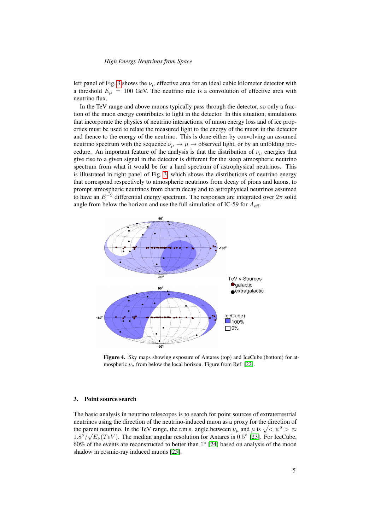left panel of Fig. [3](#page-3-1) shows the  $\nu_{\mu}$  effective area for an ideal cubic kilometer detector with a threshold  $E_{\mu} = 100$  GeV. The neutrino rate is a convolution of effective area with neutrino flux.

In the TeV range and above muons typically pass through the detector, so only a fraction of the muon energy contributes to light in the detector. In this situation, simulations that incorporate the physics of neutrino interactions, of muon energy loss and of ice properties must be used to relate the measured light to the energy of the muon in the detector and thence to the energy of the neutrino. This is done either by convolving an assumed neutrino spectrum with the sequence  $\nu_{\mu} \rightarrow \mu \rightarrow$  observed light, or by an unfolding procedure. An important feature of the analysis is that the distribution of  $\nu_{\mu}$  energies that give rise to a given signal in the detector is different for the steep atmospheric neutrino spectrum from what it would be for a hard spectrum of astrophysical neutrinos. This is illustrated in right panel of Fig. [3,](#page-3-1) which shows the distributions of neutrino energy that correspond respectively to atmospheric neutrinos from decay of pions and kaons, to prompt atmospheric neutrinos from charm decay and to astrophysical neutrinos assumed to have an  $E^{-2}$  differential energy spectrum. The responses are integrated over  $2\pi$  solid angle from below the horizon and use the full simulation of IC-59 for  $A_{\text{eff}}$ .



<span id="page-4-0"></span>Figure 4. Sky maps showing exposure of Antares (top) and IceCube (bottom) for atmospheric  $\nu_{\mu}$  from below the local horizon. Figure from Ref. [\[22\]](#page-14-13).

## 3. Point source search

The basic analysis in neutrino telescopes is to search for point sources of extraterrestrial neutrinos using the direction of the neutrino-induced muon as a proxy for the direction of the parent neutrino. In the TeV range, the r.m.s. angle between  $\nu_{\mu}$  and  $\mu$  is  $\sqrt{\langle \psi^2 \rangle^2} \approx$  $1.8^{\circ}/\sqrt{E_{\nu}}$  (TeV). The median angular resolution for Antares is 0.5° [\[23\]](#page-14-14). For IceCube,  $60\%$  of the events are reconstructed to better than  $1^{\circ}$  [\[24\]](#page-14-15) based on analysis of the moon shadow in cosmic-ray induced muons [\[25\]](#page-14-16).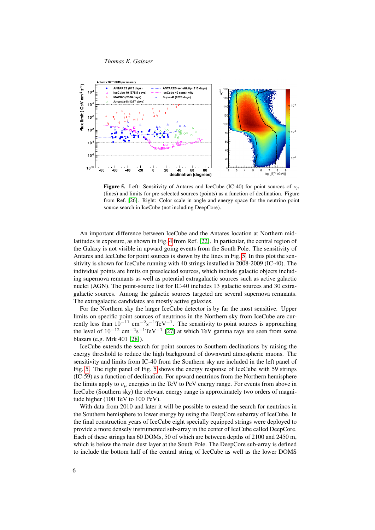

<span id="page-5-0"></span>**Figure 5.** Left: Sensitivity of Antares and IceCube (IC-40) for point sources of  $\nu_{\mu}$ (lines) and limits for pre-selected sources (points) as a function of declination. Figure from Ref. [\[26\]](#page-14-17). Right: Color scale in angle and energy space for the neutrino point source search in IceCube (not including DeepCore).

An important difference between IceCube and the Antares location at Northern midlatitudes is exposure, as shown in Fig. [4](#page-4-0) from Ref. [\[22\]](#page-14-13). In particular, the central region of the Galaxy is not visible in upward going events from the South Pole. The sensitivity of Antares and IceCube for point sources is shown by the lines in Fig. [5.](#page-5-0) In this plot the sensitivity is shown for IceCube running with 40 strings installed in 2008-2009 (IC-40). The individual points are limits on preselected sources, which include galactic objects including supernova remnants as well as potential extragalactic sources such as active galactic nuclei (AGN). The point-source list for IC-40 includes 13 galactic sources and 30 extragalactic sources. Among the galactic sources targeted are several supernova remnants. The extragalactic candidates are mostly active galaxies.

For the Northern sky the larger IceCube detector is by far the most sensitive. Upper limits on specific point sources of neutrinos in the Northern sky from IceCube are currently less than  $10^{-11}$  cm<sup>-2</sup>s<sup>-1</sup>TeV<sup>-1</sup>. The sensitivity to point sources is approaching the level of  $10^{-12}$  cm<sup>-2</sup>s<sup>-1</sup>TeV<sup>-1</sup> [\[27\]](#page-14-18) at which TeV gamma rays are seen from some blazars (e.g. Mrk 401 [\[28\]](#page-14-19)).

IceCube extends the search for point sources to Southern declinations by raising the energy threshold to reduce the high background of downward atmospheric muons. The sensitivity and limits from IC-40 from the Southern sky are included in the left panel of Fig. [5.](#page-5-0) The right panel of Fig. [5](#page-5-0) shows the energy response of IceCube with 59 strings (IC-59) as a function of declination. For upward neutrinos from the Northern hemisphere the limits apply to  $\nu_{\mu}$  energies in the TeV to PeV energy range. For events from above in IceCube (Southern sky) the relevant energy range is approximately two orders of magnitude higher (100 TeV to 100 PeV).

With data from 2010 and later it will be possible to extend the search for neutrinos in the Southern hemisphere to lower energy by using the DeepCore subarray of IceCube. In the final construction years of IceCube eight specially equipped strings were deployed to provide a more densely instrumented sub-array in the center of IceCube called DeepCore. Each of these strings has 60 DOMs, 50 of which are between depths of 2100 and 2450 m, which is below the main dust layer at the South Pole. The DeepCore sub-array is defined to include the bottom half of the central string of IceCube as well as the lower DOMS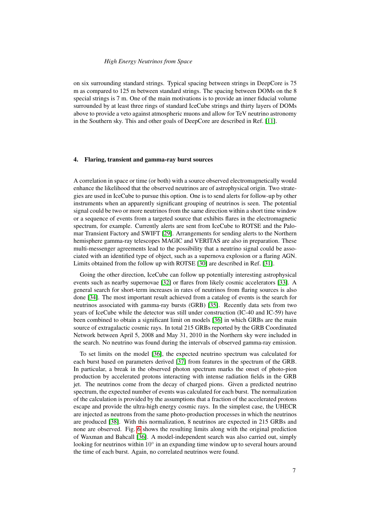on six surrounding standard strings. Typical spacing between strings in DeepCore is 75 m as compared to 125 m between standard strings. The spacing between DOMs on the 8 special strings is 7 m. One of the main motivations is to provide an inner fiducial volume surrounded by at least three rings of standard IceCube strings and thirty layers of DOMs above to provide a veto against atmospheric muons and allow for TeV neutrino astronomy in the Southern sky. This and other goals of DeepCore are described in Ref. [\[11\]](#page-14-2).

## 4. Flaring, transient and gamma-ray burst sources

A correlation in space or time (or both) with a source observed electromagnetically would enhance the likelihood that the observed neutrinos are of astrophysical origin. Two strategies are used in IceCube to pursue this option. One is to send alerts for follow-up by other instruments when an apparently significant grouping of neutrinos is seen. The potential signal could be two or more neutrinos from the same direction within a short time window or a sequence of events from a targeted source that exhibits flares in the electromagnetic spectrum, for example. Currently alerts are sent from IceCube to ROTSE and the Palomar Transient Factory and SWIFT [\[29\]](#page-14-20). Arrangements for sending alerts to the Northern hemisphere gamma-ray telescopes MAGIC and VERITAS are also in preparation. These multi-messenger agreements lead to the possibility that a neutrino signal could be associated with an identified type of object, such as a supernova explosion or a flaring AGN. Limits obtained from the follow up with ROTSE [\[30\]](#page-14-21) are described in Ref. [\[31\]](#page-14-22).

Going the other direction, IceCube can follow up potentially interesting astrophysical events such as nearby supernovae [\[32\]](#page-14-23) or flares from likely cosmic accelerators [\[33\]](#page-14-24). A general search for short-term increases in rates of neutrinos from flaring sources is also done [\[34\]](#page-14-25). The most important result achieved from a catalog of events is the search for neutrinos associated with gamma-ray bursts (GRB) [\[35\]](#page-14-26). Recently data sets from two years of IceCube while the detector was still under construction (IC-40 and IC-59) have been combined to obtain a significant limit on models [\[36\]](#page-14-27) in which GRBs are the main source of extragalactic cosmic rays. In total 215 GRBs reported by the GRB Coordinated Network between April 5, 2008 and May 31, 2010 in the Northern sky were included in the search. No neutrino was found during the intervals of observed gamma-ray emission.

To set limits on the model [\[36\]](#page-14-27), the expected neutrino spectrum was calculated for each burst based on parameters derived [\[37\]](#page-14-28) from features in the spectrum of the GRB. In particular, a break in the observed photon spectrum marks the onset of photo-pion production by accelerated protons interacting with intense radiation fields in the GRB jet. The neutrinos come from the decay of charged pions. Given a predicted neutrino spectrum, the expected number of events was calculated for each burst. The normalization of the calculation is provided by the assumptions that a fraction of the accelerated protons escape and provide the ultra-high energy cosmic rays. In the simplest case, the UHECR are injected as neutrons from the same photo-production processes in which the neutrinos are produced [\[38\]](#page-14-29). With this normalization, 8 neutrinos are expected in 215 GRBs and none are observed. Fig. [6](#page-7-0) shows the resulting limits along with the original prediction of Waxman and Bahcall [\[36\]](#page-14-27). A model-independent search was also carried out, simply looking for neutrinos within  $10^{\circ}$  in an expanding time window up to several hours around the time of each burst. Again, no correlated neutrinos were found.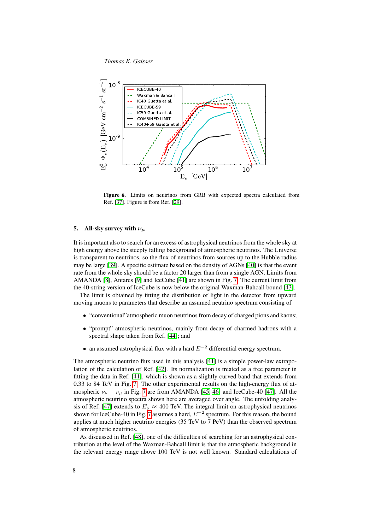

<span id="page-7-0"></span>Figure 6. Limits on neutrinos from GRB with expected spectra calculated from Ref. [\[37\]](#page-14-28). Figure is from Ref. [\[29\]](#page-14-20).

# 5. All-sky survey with  $\nu_{\mu}$

It is important also to search for an excess of astrophysical neutrinos from the whole sky at high energy above the steeply falling background of atmospheric neutrinos. The Universe is transparent to neutrinos, so the flux of neutrinos from sources up to the Hubble radius may be large [\[39\]](#page-14-30). A specific estimate based on the density of AGNs [\[40\]](#page-14-31) is that the event rate from the whole sky should be a factor 20 larger than from a single AGN. Limits from AMANDA [\[8\]](#page-13-7), Antares [\[9\]](#page-14-0) and IceCube [\[41\]](#page-14-32) are shown in Fig. [7.](#page-8-0) The current limit from the 40-string version of IceCube is now below the original Waxman-Bahcall bound [\[43\]](#page-14-33).

The limit is obtained by fitting the distribution of light in the detector from upward moving muons to parameters that describe an assumed neutrino spectrum consisting of

- "conventional"atmospheric muon neutrinos from decay of charged pions and kaons;
- "prompt" atmospheric neutrinos, mainly from decay of charmed hadrons with a spectral shape taken from Ref. [\[44\]](#page-14-34); and
- an assumed astrophysical flux with a hard  $E^{-2}$  differential energy spectrum.

The atmospheric neutrino flux used in this analysis [\[41\]](#page-14-32) is a simple power-law extrapolation of the calculation of Ref. [\[42\]](#page-14-35). Its normalization is treated as a free parameter in fitting the data in Ref. [\[41\]](#page-14-32), which is shown as a slightly curved band that extends from 0.33 to 84 TeV in Fig. [7.](#page-8-0) The other experimental results on the high-energy flux of atmospheric  $\nu_{\mu} + \bar{\nu}_{\mu}$  in Fig. [7](#page-8-0) are from AMANDA [\[45,](#page-14-36) [46\]](#page-14-37) and IceCube-40 [\[47\]](#page-14-38). All the atmospheric neutrino spectra shown here are averaged over angle. The unfolding analy-sis of Ref. [\[47\]](#page-14-38) extends to  $E_{\nu} \approx 400$  TeV. The integral limit on astrophysical neutrinos shown for IceCube-40 in Fig. [7](#page-8-0) assumes a hard,  $E^{-2}$  spectrum. For this reason, the bound applies at much higher neutrino energies (35 TeV to 7 PeV) than the observed spectrum of atmospheric neutrinos.

As discussed in Ref. [\[48\]](#page-14-39), one of the difficulties of searching for an astrophysical contribution at the level of the Waxman-Bahcall limit is that the atmospheric background in the relevant energy range above 100 TeV is not well known. Standard calculations of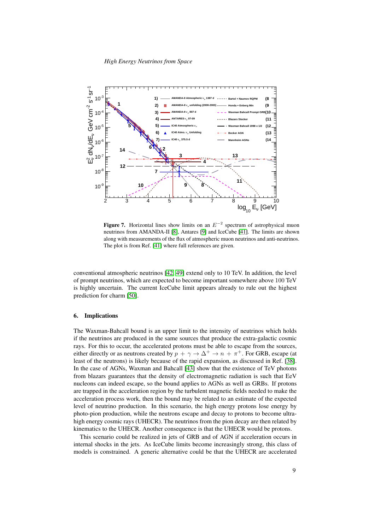

<span id="page-8-0"></span>Figure 7. Horizontal lines show limits on an  $E^{-2}$  spectrum of astrophysical muon neutrinos from AMANDA-II [\[8\]](#page-13-7), Antares [\[9\]](#page-14-0) and IceCube [\[41\]](#page-14-32). The limits are shown along with measurements of the flux of atmospheric muon neutrinos and anti-neutrinos. The plot is from Ref. [\[41\]](#page-14-32) where full references are given.

conventional atmospheric neutrinos [\[42,](#page-14-35) [49\]](#page-14-40) extend only to 10 TeV. In addition, the level of prompt neutrinos, which are expected to become important somewhere above 100 TeV is highly uncertain. The current IceCube limit appears already to rule out the highest prediction for charm [\[50\]](#page-14-41).

#### 6. Implications

The Waxman-Bahcall bound is an upper limit to the intensity of neutrinos which holds if the neutrinos are produced in the same sources that produce the extra-galactic cosmic rays. For this to occur, the accelerated protons must be able to escape from the sources, either directly or as neutrons created by  $p + \gamma \rightarrow \Delta^+ \rightarrow n + \pi^+$ . For GRB, escape (at least of the neutrons) is likely because of the rapid expansion, as discussed in Ref. [\[38\]](#page-14-29). In the case of AGNs, Waxman and Bahcall [\[43\]](#page-14-33) show that the existence of TeV photons from blazars guarantees that the density of electromagnetic radiation is such that EeV nucleons can indeed escape, so the bound applies to AGNs as well as GRBs. If protons are trapped in the acceleration region by the turbulent magnetic fields needed to make the acceleration process work, then the bound may be related to an estimate of the expected level of neutrino production. In this scenario, the high energy protons lose energy by photo-pion production, while the neutrons escape and decay to protons to become ultrahigh energy cosmic rays (UHECR). The neutrinos from the pion decay are then related by kinematics to the UHECR. Another consequence is that the UHECR would be protons.

This scenario could be realized in jets of GRB and of AGN if acceleration occurs in internal shocks in the jets. As IceCube limits become increasingly strong, this class of models is constrained. A generic alternative could be that the UHECR are accelerated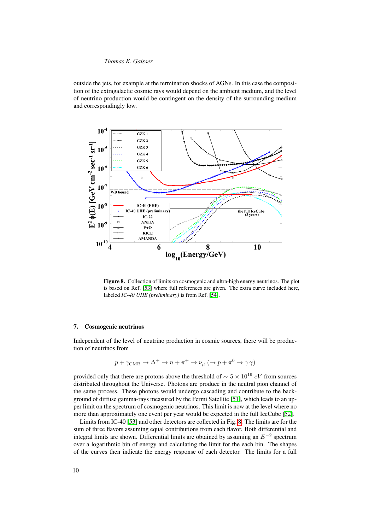outside the jets, for example at the termination shocks of AGNs. In this case the composition of the extragalactic cosmic rays would depend on the ambient medium, and the level of neutrino production would be contingent on the density of the surrounding medium and correspondingly low.



<span id="page-9-0"></span>Figure 8. Collection of limits on cosmogenic and ultra-high energy neutrinos. The plot is based on Ref. [\[53\]](#page-14-42) where full references are given. The extra curve included here, labeled *IC-40 UHE (preliminary)* is from Ref. [\[54\]](#page-14-43).

#### 7. Cosmogenic neutrinos

Independent of the level of neutrino production in cosmic sources, there will be production of neutrinos from

$$
p + \gamma_{\rm CMB} \to \Delta^+ \to n + \pi^+ \to \nu_\mu \; (\to p + \pi^0 \to \gamma \gamma)
$$

provided only that there are protons above the threshold of  $\sim 5 \times 10^{19}$  eV from sources distributed throughout the Universe. Photons are produce in the neutral pion channel of the same process. These photons would undergo cascading and contribute to the background of diffuse gamma-rays measured by the Fermi Satellite [\[51\]](#page-14-44), which leads to an upper limit on the spectrum of cosmogenic neutrinos. This limit is now at the level where no more than approximately one event per year would be expected in the full IceCube [\[52\]](#page-14-45).

Limits from IC-40 [\[53\]](#page-14-42) and other detectors are collected in Fig. [8.](#page-9-0) The limits are for the sum of three flavors assuming equal contributions from each flavor. Both differential and integral limits are shown. Differential limits are obtained by assuming an  $E^{-2}$  spectrum over a logarithmic bin of energy and calculating the limit for the each bin. The shapes of the curves then indicate the energy response of each detector. The limits for a full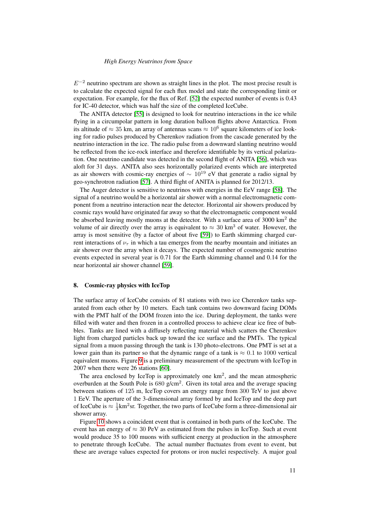$E^{-2}$  neutrino spectrum are shown as straight lines in the plot. The most precise result is to calculate the expected signal for each flux model and state the corresponding limit or expectation. For example, for the flux of Ref. [\[52\]](#page-14-45) the expected number of events is 0.43 for IC-40 detector, which was half the size of the completed IceCube.

The ANITA detector [\[55\]](#page-15-0) is designed to look for neutrino interactions in the ice while flying in a circumpolar pattern in long duration balloon flights above Antarctica. From its altitude of  $\approx 35$  km, an array of antennas scans  $\approx 10^6$  square kilometers of ice looking for radio pulses produced by Cherenkov radiation from the cascade generated by the neutrino interaction in the ice. The radio pulse from a downward slanting neutrino would be reflected from the ice-rock interface and therefore identifiable by its vertical polarization. One neutrino candidate was detected in the second flight of ANITA [\[56\]](#page-15-1), which was aloft for 31 days. ANITA also sees horizontally polarized events which are interpreted as air showers with cosmic-ray energies of  $\sim 10^{19}$  eV that generate a radio signal by geo-synchrotron radiation [\[57\]](#page-15-2). A third flight of ANITA is planned for 2012/13.

The Auger detector is sensitive to neutrinos with energies in the EeV range [\[58\]](#page-15-3). The signal of a neutrino would be a horizontal air shower with a normal electromagnetic component from a neutrino interaction near the detector. Horizontal air showers produced by cosmic rays would have originated far away so that the electromagnetic component would be absorbed leaving mostly muons at the detector. With a surface area of  $3000 \text{ km}^2$  the volume of air directly over the array is equivalent to  $\approx 30 \text{ km}^3$  of water. However, the array is most sensitive (by a factor of about five [\[59\]](#page-15-4)) to Earth skimming charged current interactions of  $\nu_{\tau}$  in which a tau emerges from the nearby mountain and initiates an air shower over the array when it decays. The expected number of cosmogenic neutrino events expected in several year is 0.71 for the Earth skimming channel and 0.14 for the near horizontal air shower channel [\[59\]](#page-15-4).

## 8. Cosmic-ray physics with IceTop

The surface array of IceCube consists of 81 stations with two ice Cherenkov tanks separated from each other by 10 meters. Each tank contains two downward facing DOMs with the PMT half of the DOM frozen into the ice. During deployment, the tanks were filled with water and then frozen in a controlled process to achieve clear ice free of bubbles. Tanks are lined with a diffusely reflecting material which scatters the Cherenkov light from charged particles back up toward the ice surface and the PMTs. The typical signal from a muon passing through the tank is 130 photo-electrons. One PMT is set at a lower gain than its partner so that the dynamic range of a tank is  $\approx 0.1$  to 1000 vertical equivalent muons. Figure [9](#page-11-0) is a preliminary measurement of the spectrum with IceTop in 2007 when there were 26 stations [\[60\]](#page-15-5).

The area enclosed by IceTop is approximately one  $km<sup>2</sup>$ , and the mean atmospheric overburden at the South Pole is  $680 \text{ g/cm}^2$ . Given its total area and the average spacing between stations of 125 m, IceTop covers an energy range from 300 TeV to just above 1 EeV. The aperture of the 3-dimensional array formed by and IceTop and the deep part of IceCube is  $\approx \frac{1}{3}$ km<sup>2</sup>sr. Together, the two parts of IceCube form a three-dimensional air shower array.

Figure [10](#page-11-1) shows a coincident event that is contained in both parts of the IceCube. The event has an energy of  $\approx 30$  PeV as estimated from the pulses in IceTop. Such at event would produce 35 to 100 muons with sufficient energy at production in the atmosphere to penetrate through IceCube. The actual number fluctuates from event to event, but these are average values expected for protons or iron nuclei respectively. A major goal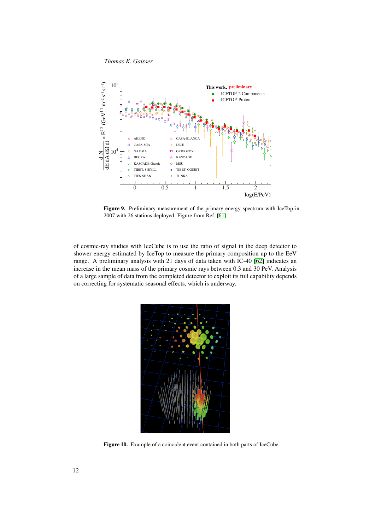*Thomas K. Gaisser*



<span id="page-11-0"></span>Figure 9. Preliminary measurement of the primary energy spectrum with IceTop in 2007 with 26 stations deployed. Figure from Ref. [\[61\]](#page-15-6).

of cosmic-ray studies with IceCube is to use the ratio of signal in the deep detector to shower energy estimated by IceTop to measure the primary composition up to the EeV range. A preliminary analysis with 21 days of data taken with IC-40 [\[62\]](#page-15-7) indicates an increase in the mean mass of the primary cosmic rays between 0.3 and 30 PeV. Analysis of a large sample of data from the completed detector to exploit its full capability depends on correcting for systematic seasonal effects, which is underway.



<span id="page-11-1"></span>Figure 10. Example of a coincident event contained in both parts of IceCube.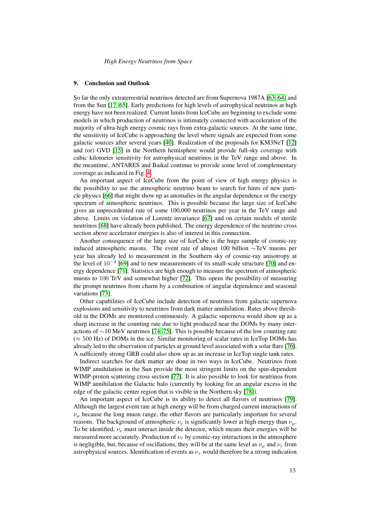#### 9. Conclusion and Outlook

So far the only extraterrestrial neutrinos detected are from Supernova 1987A [\[63,](#page-15-8) [64\]](#page-15-9) and from the Sun [\[17,](#page-14-8) [65\]](#page-15-10). Early predictions for high levels of astrophysical neutrinos at high energy have not been realized. Current limits from IceCube are beginning to exclude some models in which production of neutrinos is intimately connected with acceleration of the majority of ultra-high energy cosmic rays from extra-galactic sources. At the same time, the sensitivity of IceCube is approaching the level where signals are expected from some galactic sources after several years [\[40\]](#page-14-31). Realization of the proposals for KM3NeT [\[12\]](#page-14-3) and (or) GVD [\[15\]](#page-14-4) in the Northern hemisphere would provide full-sky coverage with cubic kilometer sensitivity for astrophysical neutrinos in the TeV range and above. In the meantime, ANTARES and Baikal continue to provide some level of complementary coverage as indicated in Fig. [4.](#page-4-0)

An important aspect of IceCube from the point of view of high energy physics is the possibility to use the atmospheric neutrino beam to search for hints of new particle physics [\[66\]](#page-15-11) that might show up as anomalies in the angular dependence or the energy spectrum of atmospheric neutrinos. This is possible because the large size of IceCube gives an unprecedented rate of some 100,000 neutrinos per year in the TeV range and above. Limits on violation of Lorentz invariance [\[67\]](#page-15-12) and on certain models of sterile neutrinos [\[68\]](#page-15-13) have already been published. The energy dependence of the neutrino cross section above accelerator energies is also of interest in this connection.

Another consequence of the large size of IceCube is the huge sample of cosmic-ray induced atmospheric muons. The event rate of almost 100 billion ∼TeV muons per year has already led to measurement in the Southern sky of cosmic-ray anisotropy at the level of  $10^{-4}$  [\[69\]](#page-15-14) and to new measurements of its small-scale structure [\[70\]](#page-15-15) and energy dependence [\[71\]](#page-15-16). Statistics are high enough to measure the spectrum of atmospheric muons to 100 TeV and somewhat higher [\[72\]](#page-15-17). This opens the possibility of measuring the prompt neutrinos from charm by a combination of angular dependence and seasonal variations [\[73\]](#page-15-18).

Other capabilities of IceCube include detection of neutrinos from galactic supernova explosions and sensitivity to neutrinos from dark matter annihilation. Rates above threshold in the DOMs are monitored continuously. A galactic supernova would show up as a sharp increase in the counting rate due to light produced near the DOMs by many interactions of ∼10 MeV neutrinos [\[74,](#page-15-19) [75\]](#page-15-20). This is possible because of the low counting rate  $(\approx 500 \text{ Hz})$  of DOMs in the ice. Similar monitoring of scalar rates in IceTop DOMs has already led to the observation of particles at ground level associated with a solar flare [\[76\]](#page-15-21). A sufficiently strong GRB could also show up as an increase in IceTop single tank rates.

Indirect searches for dark matter are done in two ways in IceCube. Neutrinos from WIMP annihilation in the Sun provide the most stringent limits on the spin-dependent WIMP-proton scattering cross section [\[77\]](#page-15-22). It is also possible to look for neutrinos from WIMP annihilation the Galactic halo (currently by looking for an angular excess in the edge of the galactic center region that is visible in the Northern sky [\[78\]](#page-15-23)).

An important aspect of IceCube is its ability to detect all flavors of neutrinos [\[79\]](#page-15-24). Although the largest event rate at high energy will be from charged current interactions of  $\nu_{\mu}$  because the long muon range, the other flavors are particularly important for several reasons. The background of atmospheric  $\nu_e$  is significantly lower at high energy than  $\nu_\mu$ . To be identified,  $\nu_e$  must interact inside the detector, which means their energies will be measured more accurately. Production of  $\nu_{\tau}$  by cosmic-ray interactions in the atmosphere is negligible, but, because of oscillations, they will be at the same level as  $\nu_{\mu}$  and  $\nu_{e}$  from astrophysical sources. Identification of events as  $\nu_{\tau}$  would therefore be a strong indication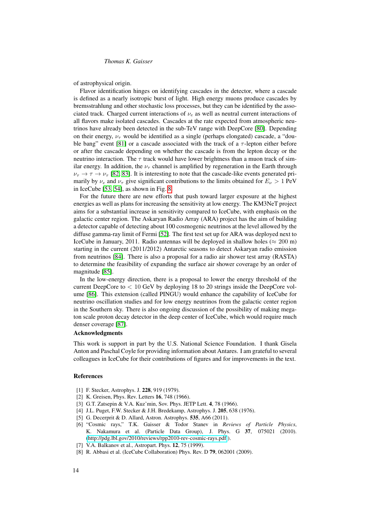of astrophysical origin.

Flavor identification hinges on identifying cascades in the detector, where a cascade is defined as a nearly isotropic burst of light. High energy muons produce cascades by bremsstrahlung and other stochastic loss processes, but they can be identified by the associated track. Charged current interactions of  $\nu_e$  as well as neutral current interactions of all flavors make isolated cascades. Cascades at the rate expected from atmospheric neutrinos have already been detected in the sub-TeV range with DeepCore [\[80\]](#page-15-25). Depending on their energy,  $\nu_{\tau}$  would be identified as a single (perhaps elongated) cascade, a "dou-ble bang" event [\[81\]](#page-15-26) or a cascade associated with the track of a  $\tau$ -lepton either before or after the cascade depending on whether the cascade is from the lepton decay or the neutrino interaction. The  $\tau$  track would have lower brightness than a muon track of similar energy. In addition, the  $\nu_{\tau}$  channel is amplified by regeneration in the Earth through  $\nu_{\tau} \rightarrow \tau \rightarrow \nu_{\tau}$  [\[82,](#page-15-27) [83\]](#page-15-28). It is interesting to note that the cascade-like events generated primarily by  $\nu_e$  and  $\nu_\tau$  give significant contributions to the limits obtained for  $E_\nu > 1 \text{ PeV}$ in IceCube [\[53,](#page-14-42) [54\]](#page-14-43), as shown in Fig. [8.](#page-9-0)

For the future there are new efforts that push toward larger exposure at the highest energies as well as plans for increasing the sensitivity at low energy. The KM3NeT project aims for a substantial increase in sensitivity compared to IceCube, with emphasis on the galactic center region. The Askaryan Radio Array (ARA) project has the aim of building a detector capable of detecting about 100 cosmogenic neutrinos at the level allowed by the diffuse gamma-ray limit of Fermi [\[52\]](#page-14-45). The first test set up for ARA was deployed next to IceCube in January, 2011. Radio antennas will be deployed in shallow holes ( $\approx 200$  m) starting in the current (2011/2012) Antarctic seasons to detect Askaryan radio emission from neutrinos [\[84\]](#page-15-29). There is also a proposal for a radio air shower test array (RASTA) to determine the feasibility of expanding the surface air shower coverage by an order of magnitude [\[85\]](#page-15-30).

In the low-energy direction, there is a proposal to lower the energy threshold of the current DeepCore to  $< 10$  GeV by deploying 18 to 20 strings inside the DeepCore volume [\[86\]](#page-15-31). This extension (called PINGU) would enhance the capability of IceCube for neutrino oscillation studies and for low energy neutrinos from the galactic center region in the Southern sky. There is also ongoing discussion of the possibility of making megaton scale proton decay detector in the deep center of IceCube, which would require much denser coverage [\[87\]](#page-15-32).

# Acknowledgments

This work is support in part by the U.S. National Science Foundation. I thank Gisela Anton and Paschal Coyle for providing information about Antares. I am grateful to several colleagues in IceCube for their contributions of figures and for improvements in the text.

#### References

- <span id="page-13-0"></span>[1] F. Stecker, Astrophys. J. 228, 919 (1979).
- <span id="page-13-1"></span>[2] K. Greisen, Phys. Rev. Letters **16**, 748 (1966).
- <span id="page-13-2"></span>[3] G.T. Zatsepin & V.A. Kuz'min, Sov. Phys. JETP Lett. 4, 78 (1966).
- <span id="page-13-3"></span>[4] J.L. Puget, F.W. Stecker & J.H. Bredekamp, Astrophys. J. 205, 638 (1976).
- <span id="page-13-4"></span>[5] G. Decerprit & D. Allard, Astron. Astrophys. 535, A66 (2011).
- <span id="page-13-5"></span>[6] "Cosmic rays," T.K. Gaisser & Todor Stanev in *Reviews of Particle Physics*, K. Nakamura et al. (Particle Data Group), J. Phys. G 37, 075021 (2010). [\(http://pdg.lbl.gov/2010/reviews/rpp2010-rev-cosmic-rays.pdf](http://pdg.lbl.gov/2010/reviews/rpp2010-rev-cosmic-rays.pdf) ).
- <span id="page-13-6"></span>[7] V.A. Balkanov et al., Astropart. Phys. **12**, 75 (1999).
- <span id="page-13-7"></span>[8] R. Abbasi et al. (IceCube Collaboration) Phys. Rev. D 79, 062001 (2009).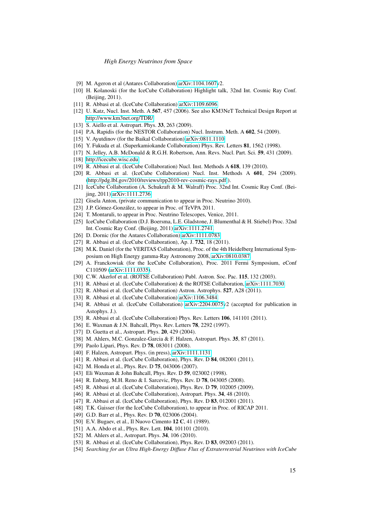- <span id="page-14-0"></span>[9] M. Ageron et al (Antares Collaboration) [arXiv:1104.1607v](http://arxiv.org/abs/1104.1607)2.
- <span id="page-14-1"></span>[10] H. Kolanoski (for the IceCube Collaboration) Highlight talk, 32nd Int. Cosmic Ray Conf. (Beijing, 2011).
- <span id="page-14-2"></span>[11] R. Abbasi et al. (IceCube Collaboration) [arXiv:1109.6096.](http://arxiv.org/abs/1109.6096)
- <span id="page-14-3"></span>[12] U. Katz, Nucl. Inst. Meth. A 567, 457 (2006). See also KM3NeT Technical Design Report at <http://www.km3net.org/TDR/>
- <span id="page-14-5"></span>[13] S. Aiello et al. Astropart. Phys. **33**, 263 (2009).
- <span id="page-14-6"></span>[14] P.A. Rapidis (for the NESTOR Collaboration) Nucl. Instrum. Meth. A 602, 54 (2009).
- <span id="page-14-4"></span>[15] V. Ayutdinov (for the Baikal Collaboration) [arXiv:0811.1110](http://arxiv.org/abs/0811.1110)
- <span id="page-14-7"></span>[16] Y. Fukuda et al. (Superkamiokande Collaboration) Phys. Rev. Letters 81, 1562 (1998).
- <span id="page-14-8"></span>[17] N. Jelley, A.B. McDonald & R.G.H. Robertson, Ann. Revs. Nucl. Part. Sci. 59, 431 (2009).
- <span id="page-14-9"></span>[18] [http://icecube.wisc.edu.](http://icecube.wisc.edu)
- <span id="page-14-10"></span>[19] R. Abbasi et al. (IceCube Collaboration) Nucl. Inst. Methods A 618, 139 (2010).
- <span id="page-14-11"></span>[20] R. Abbasi et al. (IceCube Collaboration) Nucl. Inst. Methods A 601, 294 (2009). [\(http://pdg.lbl.gov/2010/reviews/rpp2010-rev-cosmic-rays.pdf](http://pdg.lbl.gov/2010/reviews/rpp2010-rev-cosmic-rays.pdf) ).
- <span id="page-14-12"></span>[21] IceCube Collaboration (A. Schukraft & M. Walraff) Proc. 32nd Int. Cosmic Ray Conf. (Beijing, 2011) [arXiv:1111.2736.](http://arxiv.org/abs/1111.2736)
- <span id="page-14-13"></span>[22] Gisela Anton, (private communication to appear in Proc. Neutrino 2010).
- <span id="page-14-14"></span>[23] J.P. Gómez-González, to appear in Proc. of TeVPA 2011.
- <span id="page-14-15"></span>[24] T. Montaruli, to appear in Proc. Neutrino Telescopes, Venice, 2011.
- <span id="page-14-16"></span>[25] IceCube Collaboration (D.J. Boersma, L.E. Gladstone, J. Blumenthal & H. Stiebel) Proc. 32nd Int. Cosmic Ray Conf. (Beijing, 2011) [arXiv:1111.2741.](http://arxiv.org/abs/1111.2741)
- <span id="page-14-17"></span>[26] D. Dornic (for the Antares Collaboration) [arXiv:1111.0783.](http://arxiv.org/abs/1111.0783)
- <span id="page-14-18"></span>[27] R. Abbasi et al. (IceCube Collaboration), Ap. J. **732**, 18 (2011).
- <span id="page-14-19"></span>[28] M.K. Daniel (for the VERITAS Collaboration), Proc. of the 4th Heidelberg International Symposium on High Energy gamma-Ray Astronomy 2008, [arXiv:0810.0387.](http://arxiv.org/abs/0810.0387)
- <span id="page-14-20"></span>[29] A. Franckowiak (for the IceCube Collaboration), Proc. 2011 Fermi Symposium, eConf C110509 [\(arXiv:1111.0335\)](http://arxiv.org/abs/1111.0335).
- <span id="page-14-21"></span>[30] C.W. Akerlof et al. (ROTSE Collaboration) Publ. Astron. Soc. Pac. 115, 132 (2003).
- <span id="page-14-22"></span>[31] R. Abbasi et al. (IceCube Collaboration) & the ROTSE Collaboration, [arXiv:1111.7030.](http://arxiv.org/abs/1111.7030)
- <span id="page-14-23"></span>[32] R. Abbasi et al. (IceCube Collaboration) Astron. Astrophys. 527, A28 (2011).
- <span id="page-14-24"></span>[33] R. Abbasi et al. (IceCube Collaboration) [arXiv:1106.3484.](http://arxiv.org/abs/1106.3484)
- <span id="page-14-25"></span>[34] R. Abbasi et al. (IceCube Collaboration) [arXiv:2204.0075v](http://arxiv.org/abs/2204.0075)2 (accepted for publication in Astophys. J.).
- <span id="page-14-26"></span>[35] R. Abbasi et al. (IceCube Collaboration) Phys. Rev. Letters 106, 141101 (2011).
- <span id="page-14-27"></span>[36] E. Waxman & J.N. Bahcall, Phys. Rev. Letters **78**, 2292 (1997).
- <span id="page-14-28"></span>[37] D. Guetta et al., Astropart. Phys. **20**, 429 (2004).
- <span id="page-14-29"></span>[38] M. Ahlers, M.C. Gonzalez-Garcia & F. Halzen, Astropart. Phys. 35, 87 (2011).
- <span id="page-14-30"></span>[39] Paolo Lipari, Phys. Rev. D 78, 083011 (2008).
- <span id="page-14-31"></span>[40] F. Halzen, Astropart. Phys. (in press), [arXiv:1111.1131.](http://arxiv.org/abs/1111.1131)
- <span id="page-14-32"></span>[41] R. Abbasi et al. (IceCube Collaboration), Phys. Rev. D 84, 082001 (2011).
- <span id="page-14-35"></span>[42] M. Honda et al., Phys. Rev. D 75, 043006 (2007).
- <span id="page-14-33"></span>[43] Eli Waxman & John Bahcall, Phys. Rev. D 59, 023002 (1998).
- <span id="page-14-34"></span>[44] R. Enberg, M.H. Reno & I. Sarcevic, Phys. Rev. D 78, 043005 (2008).
- <span id="page-14-36"></span>[45] R. Abbasi et al. (IceCube Collaboration), Phys. Rev. D 79, 102005 (2009).
- <span id="page-14-37"></span>[46] R. Abbasi et al. (IceCube Collaboration), Astropart. Phys. 34, 48 (2010).
- <span id="page-14-38"></span>[47] R. Abbasi et al. (IceCube Collaboration), Phys. Rev. D 83, 012001 (2011).
- <span id="page-14-39"></span>[48] T.K. Gaisser (for the IceCube Collaboration), to appear in Proc. of RICAP 2011.
- <span id="page-14-40"></span>[49] G.D. Barr et al., Phys. Rev. D 70, 023006 (2004).
- <span id="page-14-41"></span>[50] E.V. Bugaev, et al., Il Nuovo Cimento 12 C, 41 (1989).
- <span id="page-14-44"></span>[51] A.A. Abdo et al., Phys. Rev. Lett. **104**, 101101 (2010).
- <span id="page-14-45"></span>[52] M. Ahlers et al., Astropart. Phys. **34**, 106 (2010).
- <span id="page-14-42"></span>[53] R. Abbasi et al. (IceCube Collaboration), Phys. Rev. D 83, 092003 (2011).
- <span id="page-14-43"></span>[54] *Searching for an Ultra High-Energy Diffuse Flux of Extraterrestrial Neutrinos with IceCube*